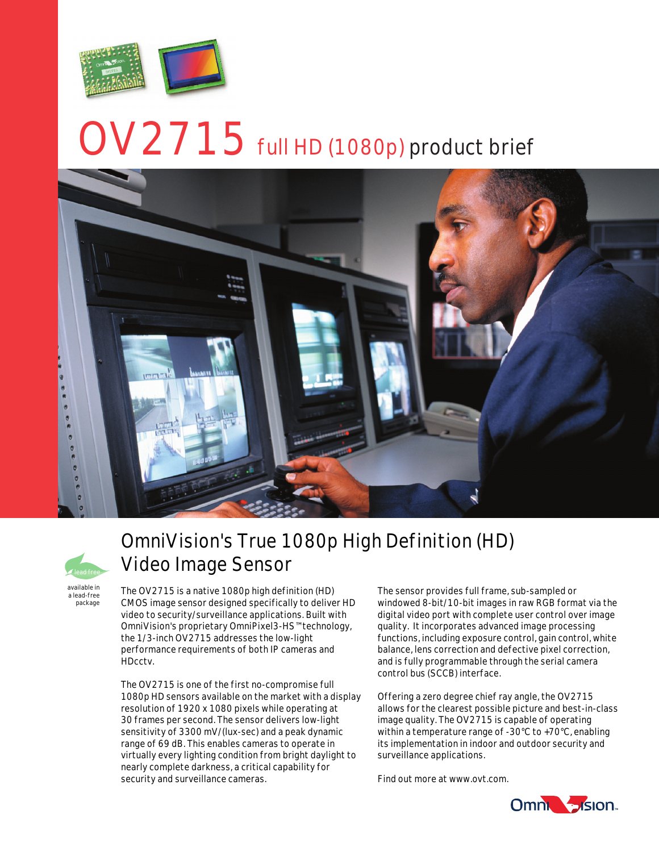

# $\text{OV}2715$  full HD (1080p) product brief





a lead-free package

## OmniVision's True 1080p High Definition (HD) Video Image Sensor

The OV2715 is a native 1080p high definition (HD) CMOS image sensor designed specifically to deliver HD video to security/surveillance applications. Built with OmniVision's proprietary OmniPixel3-HS™ technology, the 1/3-inch OV2715 addresses the low-light performance requirements of both IP cameras and HDcctv.

The OV2715 is one of the first no-compromise full 1080p HD sensors available on the market with a display resolution of 1920 x 1080 pixels while operating at 30 frames per second. The sensor delivers low-light sensitivity of 3300 mV/(lux-sec) and a peak dynamic range of 69 dB. This enables cameras to operate in virtually every lighting condition from bright daylight to nearly complete darkness, a critical capability for security and surveillance cameras.

The sensor provides full frame, sub-sampled or windowed 8-bit/10-bit images in raw RGB format via the digital video port with complete user control over image quality. It incorporates advanced image processing functions, including exposure control, gain control, white balance, lens correction and defective pixel correction, and is fully programmable through the serial camera control bus (SCCB) interface.

Offering a zero degree chief ray angle, the OV2715 allows for the clearest possible picture and best-in-class image quality. The OV2715 is capable of operating within a temperature range of -30°C to +70°C, enabling its implementation in indoor and outdoor security and surveillance applications.

Find out more at www.ovt.com.